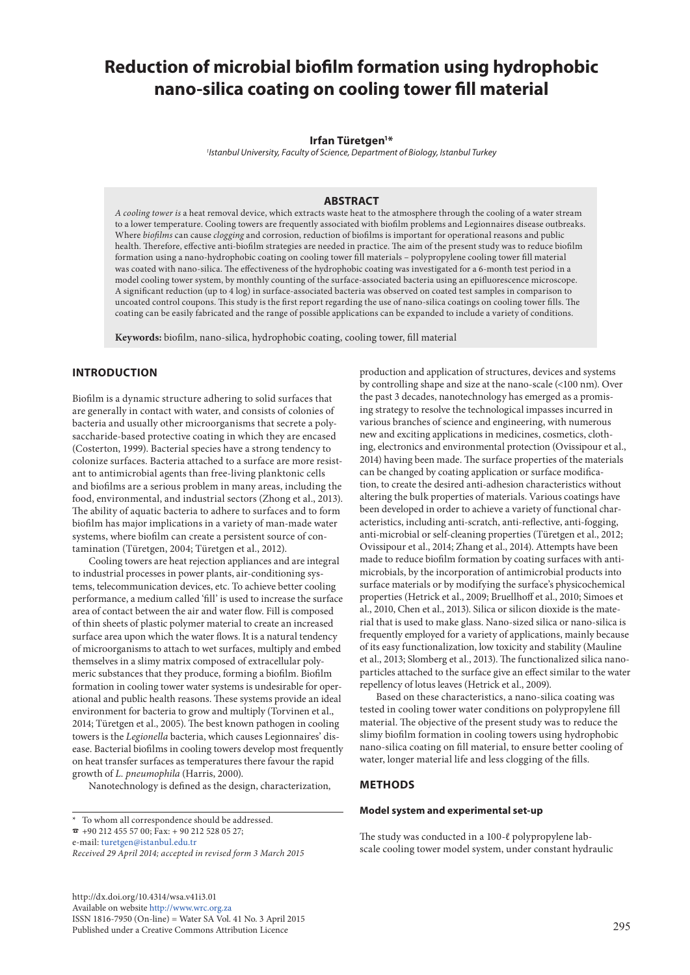# **Reduction of microbial biofilm formation using hydrophobic nano-silica coating on cooling tower fill material**

#### **Irfan Türetgen1 \***

*1 Istanbul University, Faculty of Science, Department of Biology, Istanbul Turkey*

#### **ABSTRACT**

*A cooling tower is* a heat removal device, which extracts waste heat to the atmosphere through the cooling of a water stream to a lower temperature. Cooling towers are frequently associated with biofilm problems and Legionnaires disease outbreaks. Where *biofilms* can cause *clogging* and corrosion, reduction of biofilms is important for operational reasons and public health. Therefore, effective anti-biofilm strategies are needed in practice. The aim of the present study was to reduce biofilm formation using a nano-hydrophobic coating on cooling tower fill materials – polypropylene cooling tower fill material was coated with nano-silica. The effectiveness of the hydrophobic coating was investigated for a 6-month test period in a model cooling tower system, by monthly counting of the surface-associated bacteria using an epifluorescence microscope. A significant reduction (up to 4 log) in surface-associated bacteria was observed on coated test samples in comparison to uncoated control coupons. This study is the first report regarding the use of nano-silica coatings on cooling tower fills. The coating can be easily fabricated and the range of possible applications can be expanded to include a variety of conditions.

**Keywords:** biofilm, nano-silica, hydrophobic coating, cooling tower, fill material

## **INTRODUCTION**

Biofilm is a dynamic structure adhering to solid surfaces that are generally in contact with water, and consists of colonies of bacteria and usually other microorganisms that secrete a polysaccharide-based protective coating in which they are encased (Costerton, 1999). Bacterial species have a strong tendency to colonize surfaces. Bacteria attached to a surface are more resistant to antimicrobial agents than free-living planktonic cells and biofilms are a serious problem in many areas, including the food, environmental, and industrial sectors (Zhong et al., 2013). The ability of aquatic bacteria to adhere to surfaces and to form biofilm has major implications in a variety of man-made water systems, where biofilm can create a persistent source of contamination (Türetgen, 2004; Türetgen et al., 2012).

Cooling towers are heat rejection appliances and are integral to industrial processes in power plants, air-conditioning systems, telecommunication devices, etc. To achieve better cooling performance, a medium called 'fill' is used to increase the surface area of contact between the air and water flow. Fill is composed of thin sheets of plastic polymer material to create an increased surface area upon which the water flows. It is a natural tendency of microorganisms to attach to wet surfaces, multiply and embed themselves in a slimy matrix composed of extracellular polymeric substances that they produce, forming a biofilm. Biofilm formation in cooling tower water systems is undesirable for operational and public health reasons. These systems provide an ideal environment for bacteria to grow and multiply (Torvinen et al., 2014; Türetgen et al., 2005). The best known pathogen in cooling towers is the *Legionella* bacteria, which causes Legionnaires' disease. Bacterial biofilms in cooling towers develop most frequently on heat transfer surfaces as temperatures there favour the rapid growth of *L. pneumophila* (Harris, 2000).

Nanotechnology is defined as the design, characterization,

 $\bar{p}$  +90 212 455 57 00; Fax: + 90 212 528 05 27;

e-mail: [turetgen@istanbul.edu.tr](mailto:turetgen%40istanbul.edu.tr?subject=) 

[http://dx.doi.org/10.4314/wsa.v41i3.0](http://dx.doi.org/10.4314/wsa.v41i3.01)1 Available on website<http://www.wrc.org.za> ISSN 1816-7950 (On-line) = Water SA Vol. 41 No. 3 April 2015 Published under a Creative Commons Attribution Licence

production and application of structures, devices and systems by controlling shape and size at the nano-scale (<100 nm). Over the past 3 decades, nanotechnology has emerged as a promising strategy to resolve the technological impasses incurred in various branches of science and engineering, with numerous new and exciting applications in medicines, cosmetics, clothing, electronics and environmental protection (Ovissipour et al., 2014) having been made. The surface properties of the materials can be changed by coating application or surface modification, to create the desired anti-adhesion characteristics without altering the bulk properties of materials. Various coatings have been developed in order to achieve a variety of functional characteristics, including anti-scratch, anti-reflective, anti-fogging, anti-microbial or self-cleaning properties (Türetgen et al., 2012; Ovissipour et al., 2014; Zhang et al., 2014). Attempts have been made to reduce biofilm formation by coating surfaces with antimicrobials, by the incorporation of antimicrobial products into surface materials or by modifying the surface's physicochemical properties (Hetrick et al., 2009; Bruellhoff et al., 2010; Simoes et al., 2010, Chen et al., 2013). Silica or silicon dioxide is the material that is used to make glass. Nano-sized silica or nano-silica is frequently employed for a variety of applications, mainly because of its easy functionalization, low toxicity and stability (Mauline et al., 2013; Slomberg et al., 2013). The functionalized silica nanoparticles attached to the surface give an effect similar to the water repellency of lotus leaves (Hetrick et al., 2009).

Based on these characteristics, a nano-silica coating was tested in cooling tower water conditions on polypropylene fill material. The objective of the present study was to reduce the slimy biofilm formation in cooling towers using hydrophobic nano-silica coating on fill material, to ensure better cooling of water, longer material life and less clogging of the fills.

## **METHODS**

#### **Model system and experimental set-up**

The study was conducted in a 100-ℓ polypropylene labscale cooling tower model system, under constant hydraulic

<sup>\*</sup> To whom all correspondence should be addressed.

*Received 29 April 2014; accepted in revised form 3 March 2015*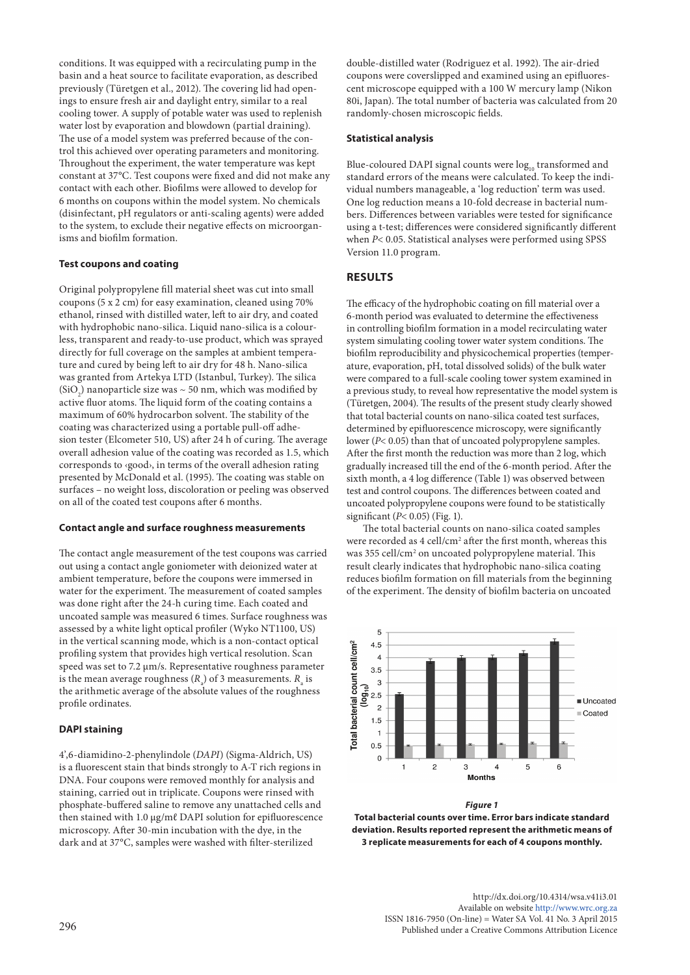conditions. It was equipped with a recirculating pump in the basin and a heat source to facilitate evaporation, as described previously (Türetgen et al., 2012). The covering lid had openings to ensure fresh air and daylight entry, similar to a real cooling tower. A supply of potable water was used to replenish water lost by evaporation and blowdown (partial draining). The use of a model system was preferred because of the control this achieved over operating parameters and monitoring. Throughout the experiment, the water temperature was kept constant at 37°C. Test coupons were fixed and did not make any contact with each other. Biofilms were allowed to develop for 6 months on coupons within the model system. No chemicals (disinfectant, pH regulators or anti-scaling agents) were added to the system, to exclude their negative effects on microorganisms and biofilm formation.

#### **Test coupons and coating**

Original polypropylene fill material sheet was cut into small coupons (5 x 2 cm) for easy examination, cleaned using 70% ethanol, rinsed with distilled water, left to air dry, and coated with hydrophobic nano-silica. Liquid nano-silica is a colourless, transparent and ready-to-use product, which was sprayed directly for full coverage on the samples at ambient temperature and cured by being left to air dry for 48 h. Nano-silica was granted from Artekya LTD (Istanbul, Turkey). The silica (SiO<sub>2</sub>) nanoparticle size was  $\sim$  50 nm, which was modified by active fluor atoms. The liquid form of the coating contains a maximum of 60% hydrocarbon solvent. The stability of the coating was characterized using a portable pull-off adhesion tester (Elcometer 510, US) after 24 h of curing. The average overall adhesion value of the coating was recorded as 1.5, which corresponds to ‹good›, in terms of the overall adhesion rating presented by McDonald et al. (1995). The coating was stable on surfaces – no weight loss, discoloration or peeling was observed on all of the coated test coupons after 6 months.

#### **Contact angle and surface roughness measurements**

The contact angle measurement of the test coupons was carried out using a contact angle goniometer with deionized water at ambient temperature, before the coupons were immersed in water for the experiment. The measurement of coated samples was done right after the 24-h curing time. Each coated and uncoated sample was measured 6 times. Surface roughness was assessed by a white light optical profiler (Wyko NT1100, US) in the vertical scanning mode, which is a non-contact optical profiling system that provides high vertical resolution. Scan speed was set to 7.2 µm/s. Representative roughness parameter is the mean average roughness  $(R_a)$  of 3 measurements.  $R_a$  is the arithmetic average of the absolute values of the roughness profile ordinates.

#### **DAPI staining**

4',6-diamidino-2-phenylindole (*DAPI*) (Sigma-Aldrich, US) is a fluorescent stain that binds strongly to A-T rich regions in DNA. Four coupons were removed monthly for analysis and staining, carried out in triplicate. Coupons were rinsed with phosphate-buffered saline to remove any unattached cells and then stained with 1.0 µg/mℓ DAPI solution for epifluorescence microscopy. After 30-min incubation with the dye, in the dark and at 37°C, samples were washed with filter-sterilized

double-distilled water (Rodriguez et al. 1992). The air-dried coupons were coverslipped and examined using an epifluorescent microscope equipped with a 100 W mercury lamp (Nikon 80i, Japan). The total number of bacteria was calculated from 20 randomly-chosen microscopic fields.

#### **Statistical analysis**

Blue-coloured DAPI signal counts were log<sub>10</sub> transformed and standard errors of the means were calculated. To keep the individual numbers manageable, a 'log reduction' term was used. One log reduction means a 10-fold decrease in bacterial numbers. Differences between variables were tested for significance using a t-test; differences were considered significantly different when *P*< 0.05. Statistical analyses were performed using SPSS Version 11.0 program.

# **RESULTS**

The efficacy of the hydrophobic coating on fill material over a 6-month period was evaluated to determine the effectiveness in controlling biofilm formation in a model recirculating water system simulating cooling tower water system conditions. The biofilm reproducibility and physicochemical properties (temperature, evaporation, pH, total dissolved solids) of the bulk water were compared to a full-scale cooling tower system examined in a previous study, to reveal how representative the model system is (Türetgen, 2004). The results of the present study clearly showed that total bacterial counts on nano-silica coated test surfaces, determined by epifluorescence microscopy, were significantly lower (*P*< 0.05) than that of uncoated polypropylene samples. After the first month the reduction was more than 2 log, which gradually increased till the end of the 6-month period. After the sixth month, a 4 log difference (Table 1) was observed between test and control coupons. The differences between coated and uncoated polypropylene coupons were found to be statistically significant (*P*< 0.05) (Fig. 1).

The total bacterial counts on nano-silica coated samples were recorded as 4 cell/cm<sup>2</sup> after the first month, whereas this was 355 cell/cm<sup>2</sup> on uncoated polypropylene material. This result clearly indicates that hydrophobic nano-silica coating reduces biofilm formation on fill materials from the beginning of the experiment. The density of biofilm bacteria on uncoated





**Total bacterial counts over time. Error bars indicate standard deviation. Results reported represent the arithmetic means of 3 replicate measurements for each of 4 coupons monthly.**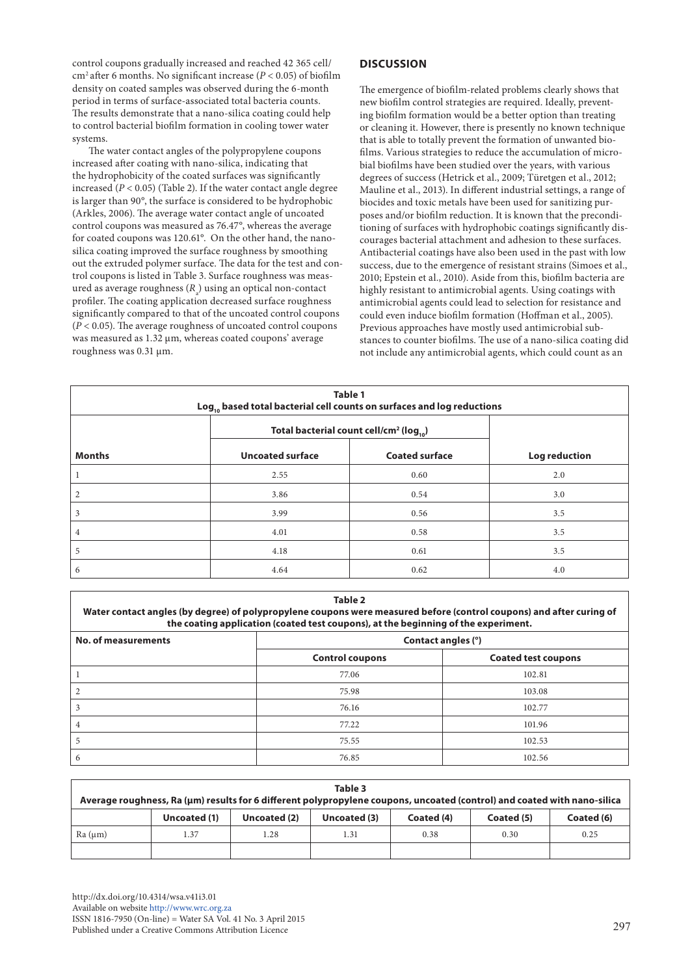control coupons gradually increased and reached 42 365 cell/ cm2 after 6 months. No significant increase (*P* < 0.05) of biofilm density on coated samples was observed during the 6-month period in terms of surface-associated total bacteria counts. The results demonstrate that a nano-silica coating could help to control bacterial biofilm formation in cooling tower water systems.

The water contact angles of the polypropylene coupons increased after coating with nano-silica, indicating that the hydrophobicity of the coated surfaces was significantly increased  $(P < 0.05)$  (Table 2). If the water contact angle degree is larger than 90°, the surface is considered to be hydrophobic (Arkles, 2006). The average water contact angle of uncoated control coupons was measured as 76.47°, whereas the average for coated coupons was 120.61°. On the other hand, the nanosilica coating improved the surface roughness by smoothing out the extruded polymer surface. The data for the test and control coupons is listed in Table 3. Surface roughness was measured as average roughness  $(R_{a})$  using an optical non-contact profiler. The coating application decreased surface roughness significantly compared to that of the uncoated control coupons (*P* < 0.05). The average roughness of uncoated control coupons was measured as 1.32 μm, whereas coated coupons' average roughness was 0.31 μm.

# **DISCUSSION**

The emergence of biofilm-related problems clearly shows that new biofilm control strategies are required. Ideally, preventing biofilm formation would be a better option than treating or cleaning it. However, there is presently no known technique that is able to totally prevent the formation of unwanted biofilms. Various strategies to reduce the accumulation of microbial biofilms have been studied over the years, with various degrees of success (Hetrick et al., 2009; Türetgen et al., 2012; Mauline et al., 2013). In different industrial settings, a range of biocides and toxic metals have been used for sanitizing purposes and/or biofilm reduction. It is known that the preconditioning of surfaces with hydrophobic coatings significantly discourages bacterial attachment and adhesion to these surfaces. Antibacterial coatings have also been used in the past with low success, due to the emergence of resistant strains (Simoes et al., 2010; Epstein et al., 2010). Aside from this, biofilm bacteria are highly resistant to antimicrobial agents. Using coatings with antimicrobial agents could lead to selection for resistance and could even induce biofilm formation (Hoffman et al., 2005). Previous approaches have mostly used antimicrobial substances to counter biofilms. The use of a nano-silica coating did not include any antimicrobial agents, which could count as an

| Table 1<br>Log <sub>10</sub> based total bacterial cell counts on surfaces and log reductions |                                                           |                       |               |  |  |  |  |
|-----------------------------------------------------------------------------------------------|-----------------------------------------------------------|-----------------------|---------------|--|--|--|--|
|                                                                                               | Total bacterial count cell/cm <sup>2</sup> ( $log_{10}$ ) |                       |               |  |  |  |  |
| <b>Months</b>                                                                                 | <b>Uncoated surface</b>                                   | <b>Coated surface</b> | Log reduction |  |  |  |  |
|                                                                                               | 2.55                                                      | 0.60                  | 2.0           |  |  |  |  |
| 2                                                                                             | 3.86                                                      | 0.54                  | 3.0           |  |  |  |  |
| 3                                                                                             | 3.99                                                      | 0.56                  | 3.5           |  |  |  |  |
| 4                                                                                             | 4.01                                                      | 0.58                  | 3.5           |  |  |  |  |
| 5                                                                                             | 4.18                                                      | 0.61                  | 3.5           |  |  |  |  |
| 6                                                                                             | 4.64                                                      | 0.62                  | 4.0           |  |  |  |  |

| $\sim$<br>., |
|--------------|
|--------------|

**Water contact angles (by degree) of polypropylene coupons were measured before (control coupons) and after curing of the coating application (coated test coupons), at the beginning of the experiment.**

| No. of measurements | Contact angles (°)     |                            |  |  |  |
|---------------------|------------------------|----------------------------|--|--|--|
|                     | <b>Control coupons</b> | <b>Coated test coupons</b> |  |  |  |
|                     | 77.06                  | 102.81                     |  |  |  |
|                     | 75.98                  | 103.08                     |  |  |  |
|                     | 76.16                  | 102.77                     |  |  |  |
|                     | 77.22                  | 101.96                     |  |  |  |
|                     | 75.55<br>102.53        |                            |  |  |  |
| O                   | 76.85<br>102.56        |                            |  |  |  |

| Table 3<br>Average roughness, Ra (µm) results for 6 different polypropylene coupons, uncoated (control) and coated with nano-silica |              |              |              |            |            |            |  |  |
|-------------------------------------------------------------------------------------------------------------------------------------|--------------|--------------|--------------|------------|------------|------------|--|--|
|                                                                                                                                     | Uncoated (1) | Uncoated (2) | Uncoated (3) | Coated (4) | Coated (5) | Coated (6) |  |  |
| Ra (µm)                                                                                                                             | l.37         | 1.28         | 1.31         | 0.38       | 0.30       | 0.25       |  |  |
|                                                                                                                                     |              |              |              |            |            |            |  |  |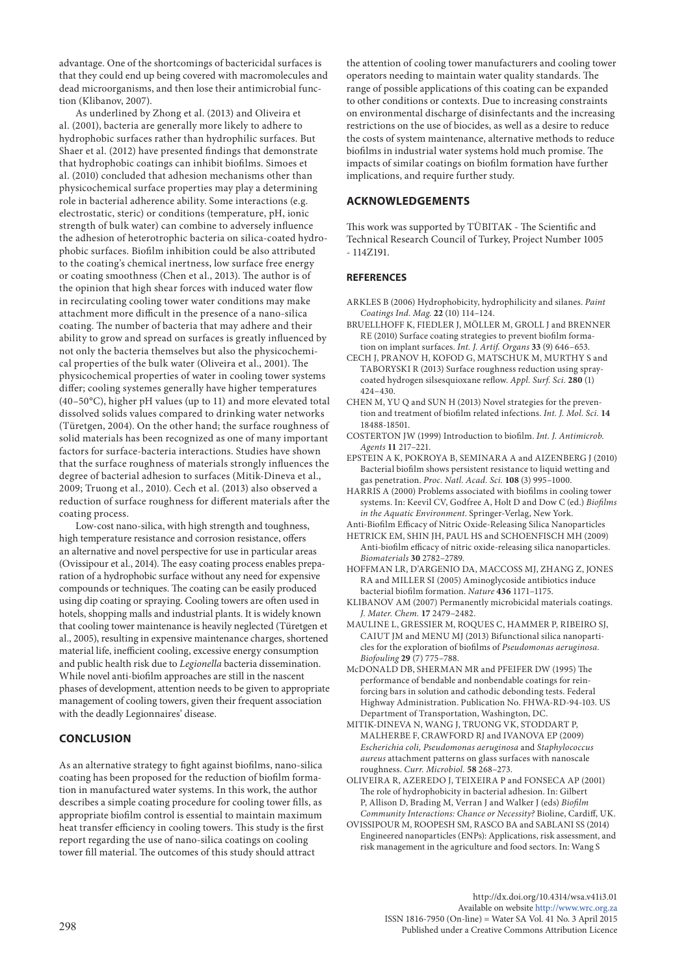advantage. One of the shortcomings of bactericidal surfaces is that they could end up being covered with macromolecules and dead microorganisms, and then lose their antimicrobial function (Klibanov, 2007).

As underlined by Zhong et al. (2013) and Oliveira et al. (2001), bacteria are generally more likely to adhere to hydrophobic surfaces rather than hydrophilic surfaces. But Shaer et al. (2012) have presented findings that demonstrate that hydrophobic coatings can inhibit biofilms. Simoes et al. (2010) concluded that adhesion mechanisms other than physicochemical surface properties may play a determining role in bacterial adherence ability. Some interactions (e.g. electrostatic, steric) or conditions (temperature, pH, ionic strength of bulk water) can combine to adversely influence the adhesion of heterotrophic bacteria on silica-coated hydrophobic surfaces. Biofilm inhibition could be also attributed to the coating's chemical inertness, low surface free energy or coating smoothness (Chen et al., 2013). The author is of the opinion that high shear forces with induced water flow in recirculating cooling tower water conditions may make attachment more difficult in the presence of a nano-silica coating. The number of bacteria that may adhere and their ability to grow and spread on surfaces is greatly influenced by not only the bacteria themselves but also the physicochemical properties of the bulk water (Oliveira et al., 2001). The physicochemical properties of water in cooling tower systems differ; cooling systemes generally have higher temperatures (40–50°C), higher pH values (up to 11) and more elevated total dissolved solids values compared to drinking water networks (Türetgen, 2004). On the other hand; the surface roughness of solid materials has been recognized as one of many important factors for surface-bacteria interactions. Studies have shown that the surface roughness of materials strongly influences the degree of bacterial adhesion to surfaces (Mitik-Dineva et al., 2009; Truong et al., 2010). Cech et al. (2013) also observed a reduction of surface roughness for different materials after the coating process.

Low-cost nano-silica, with high strength and toughness, high temperature resistance and corrosion resistance, offers an alternative and novel perspective for use in particular areas (Ovissipour et al., 2014). The easy coating process enables preparation of a hydrophobic surface without any need for expensive compounds or techniques. The coating can be easily produced using dip coating or spraying. Cooling towers are often used in hotels, shopping malls and industrial plants. It is widely known that cooling tower maintenance is heavily neglected (Türetgen et al., 2005), resulting in expensive maintenance charges, shortened material life, inefficient cooling, excessive energy consumption and public health risk due to *Legionella* bacteria dissemination. While novel anti-biofilm approaches are still in the nascent phases of development, attention needs to be given to appropriate management of cooling towers, given their frequent association with the deadly Legionnaires' disease.

#### **CONCLUSION**

As an alternative strategy to fight against biofilms, nano-silica coating has been proposed for the reduction of biofilm formation in manufactured water systems. In this work, the author describes a simple coating procedure for cooling tower fills, as appropriate biofilm control is essential to maintain maximum heat transfer efficiency in cooling towers. This study is the first report regarding the use of nano-silica coatings on cooling tower fill material. The outcomes of this study should attract

the attention of cooling tower manufacturers and cooling tower operators needing to maintain water quality standards. The range of possible applications of this coating can be expanded to other conditions or contexts. Due to increasing constraints on environmental discharge of disinfectants and the increasing restrictions on the use of biocides, as well as a desire to reduce the costs of system maintenance, alternative methods to reduce biofilms in industrial water systems hold much promise. The impacts of similar coatings on biofilm formation have further implications, and require further study.

## **ACKNOWLEDGEMENTS**

This work was supported by TÜBITAK - The Scientific and Technical Research Council of Turkey, Project Number 1005 - 114Z191.

#### **REFERENCES**

- ARKLES B (2006) Hydrophobicity, hydrophilicity and silanes. *Paint Coatings Ind. Mag.* **22** (10) 114–124.
- BRUELLHOFF K, FIEDLER J, MÖLLER M, GROLL J and BRENNER RE (2010) Surface coating strategies to prevent biofilm formation on implant surfaces. *Int. J. Artif. Organs* **33** (9) 646–653.
- CECH J, PRANOV H, KOFOD G, MATSCHUK M, MURTHY S and TABORYSKI R (2013) Surface roughness reduction using spraycoated hydrogen silsesquioxane reflow. *Appl. Surf. Sci.* **280** (1) 424–430.

CHEN M, YU Q and SUN H (2013) Novel strategies for the prevention and treatment of biofilm related infections. *Int. J. Mol. Sci.* **14** 18488-18501.

- COSTERTON JW (1999) Introduction to biofilm. *Int. J. Antimicrob. Agents* **11** 217–221.
- EPSTEIN A K, POKROYA B, SEMINARA A and AIZENBERG J (2010) Bacterial biofilm shows persistent resistance to liquid wetting and gas penetration. *Proc. Natl. Acad. Sci.* **108** (3) 995–1000.
- HARRIS A (2000) Problems associated with biofilms in cooling tower systems. In: Keevil CV, Godfree A, Holt D and Dow C (ed.) *Biofilms in the Aquatic Environment*. Springer-Verlag, New York.

Anti-Biofilm Efficacy of Nitric Oxide-Releasing Silica Nanoparticles

- HETRICK EM, SHIN JH, PAUL HS and SCHOENFISCH MH (2009) Anti-biofilm efficacy of nitric oxide-releasing silica nanoparticles. *Biomaterials* **30** 2782–2789.
- HOFFMAN LR, D'ARGENIO DA, MACCOSS MJ, ZHANG Z, JONES RA and MILLER SI (2005) Aminoglycoside antibiotics induce bacterial biofilm formation. *Nature* **436** 1171–1175.
- KLIBANOV AM (2007) Permanently microbicidal materials coatings. *J. Mater. Chem.* **17** 2479–2482.
- MAULINE L, GRESSIER M, ROQUES C, HAMMER P, RIBEIRO SJ, CAIUT JM and MENU MJ (2013) Bifunctional silica nanoparticles for the exploration of biofilms of *Pseudomonas aeruginosa*. *Biofouling* **29** (7) 775–788.
- McDONALD DB, SHERMAN MR and PFEIFER DW (1995) The performance of bendable and nonbendable coatings for reinforcing bars in solution and cathodic debonding tests. Federal Highway Administration. Publication No. FHWA-RD-94-103. US Department of Transportation, Washington, DC.
- MITIK-DINEVA N, WANG J, TRUONG VK, STODDART P, MALHERBE F, CRAWFORD RJ and IVANOVA EP (2009) *Escherichia coli, Pseudomonas aeruginosa* and *Staphylococcus aureus* attachment patterns on glass surfaces with nanoscale roughness. *Curr. Microbiol.* **58** 268–273.
- OLIVEIRA R, AZEREDO J, TEIXEIRA P and FONSECA AP (2001) The role of hydrophobicity in bacterial adhesion. In: Gilbert P, Allison D, Brading M, Verran J and Walker J (eds) *Biofilm Community Interactions: Chance or Necessity?* Bioline, Cardiff, UK.
- OVISSIPOUR M, ROOPESH SM, RASCO BA and SABLANI SS (2014) Engineered nanoparticles (ENPs): Applications, risk assessment, and risk management in the agriculture and food sectors. In: Wang S